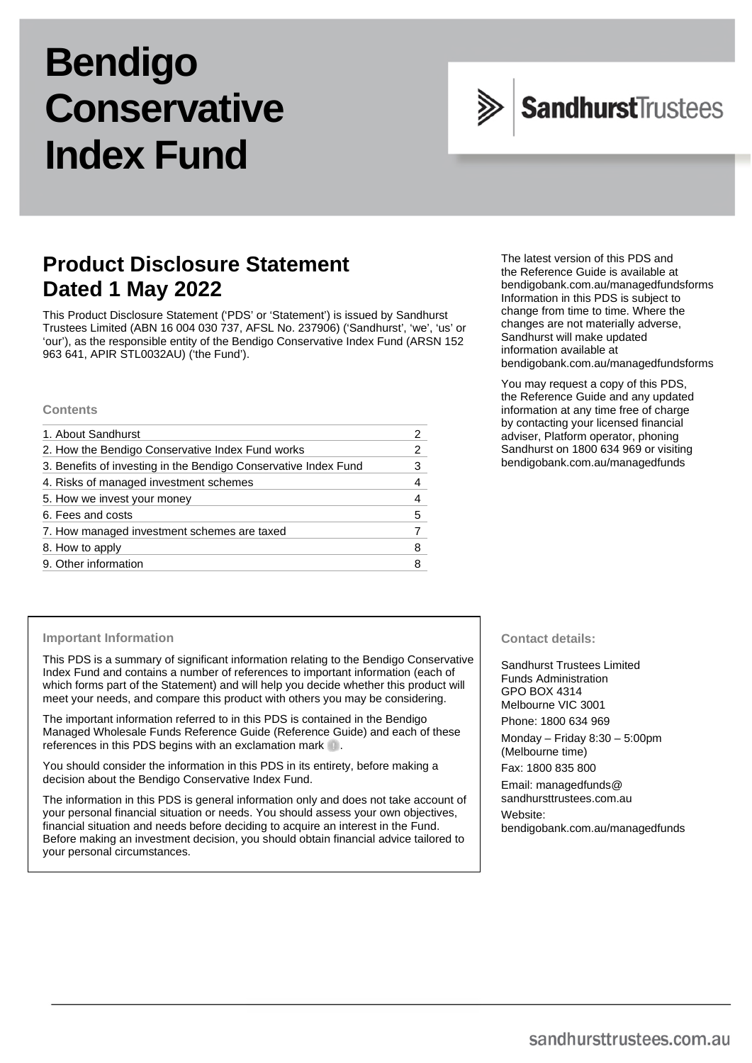# **Bendigo Conservative Index Fund**



# **Product Disclosure Statement Dated 1 May 2022**

This Product Disclosure Statement ('PDS' or 'Statement') is issued by Sandhurst Trustees Limited (ABN 16 004 030 737, AFSL No. 237906) ('Sandhurst', 'we', 'us' or 'our'), as the responsible entity of the Bendigo Conservative Index Fund (ARSN 152 963 641, APIR STL0032AU) ('the Fund').

### **Contents**

| 1. About Sandhurst                                              |   |
|-----------------------------------------------------------------|---|
| 2. How the Bendigo Conservative Index Fund works                | 2 |
| 3. Benefits of investing in the Bendigo Conservative Index Fund | 3 |
| 4. Risks of managed investment schemes                          | 4 |
| 5. How we invest your money                                     |   |
| 6. Fees and costs                                               | 5 |
| 7. How managed investment schemes are taxed                     |   |
| 8. How to apply                                                 | 8 |
| 9. Other information                                            |   |

The latest version of this PDS and the Reference Guide is available at [bendigobank.com.au/managedfundsforms](https://www.bendigobank.com.au/managedfundsforms/) Information in this PDS is subject to change from time to time. Where the changes are not materially adverse, Sandhurst will make updated information available at [bendigobank.com.au/managedfundsf](https://www.bendigobank.com.au/managedfundsforms/)orms

You may request a copy of this PDS, the Reference Guide and any updated information at any time free of charge by contacting your licensed financial adviser, Platform operator, phoning Sandhurst on 1800 634 969 or visiting [bendigobank.com.au/managedfunds](https://www.bendigobank.com.au/managedfundsforms/)

### **Important Information**

This PDS is a summary of significant information relating to the Bendigo Conservative Index Fund and contains a number of references to important information (each of which forms part of the Statement) and will help you decide whether this product will meet your needs, and compare this product with others you may be considering.

The important information referred to in this PDS is contained in the Bendigo Managed Wholesale Funds Reference Guide (Reference Guide) and each of these references in this PDS begins with an exclamation mark  $\blacksquare$ .

You should consider the information in this PDS in its entirety, before making a decision about the Bendigo Conservative Index Fund.

The information in this PDS is general information only and does not take account of your personal financial situation or needs. You should assess your own objectives, financial situation and needs before deciding to acquire an interest in the Fund. Before making an investment decision, you should obtain financial advice tailored to your personal circumstances.

# **Contact details:**

Sandhurst Trustees Limited Funds Administration GPO BOX 4314 Melbourne VIC 3001 Phone: 1800 634 969

Monday – Friday 8:30 – 5:00pm (Melbourne time)

Fax: 1800 835 800

Email[: managedfunds@](mailto:managedfunds@sandhursttrustees.com.au)  [sandhursttrustees.com.au](mailto:managedfunds@sandhursttrustees.com.au) Website: [bendigobank.com.au/managedfunds](https://bendigobank.com.au/managedfundsforms)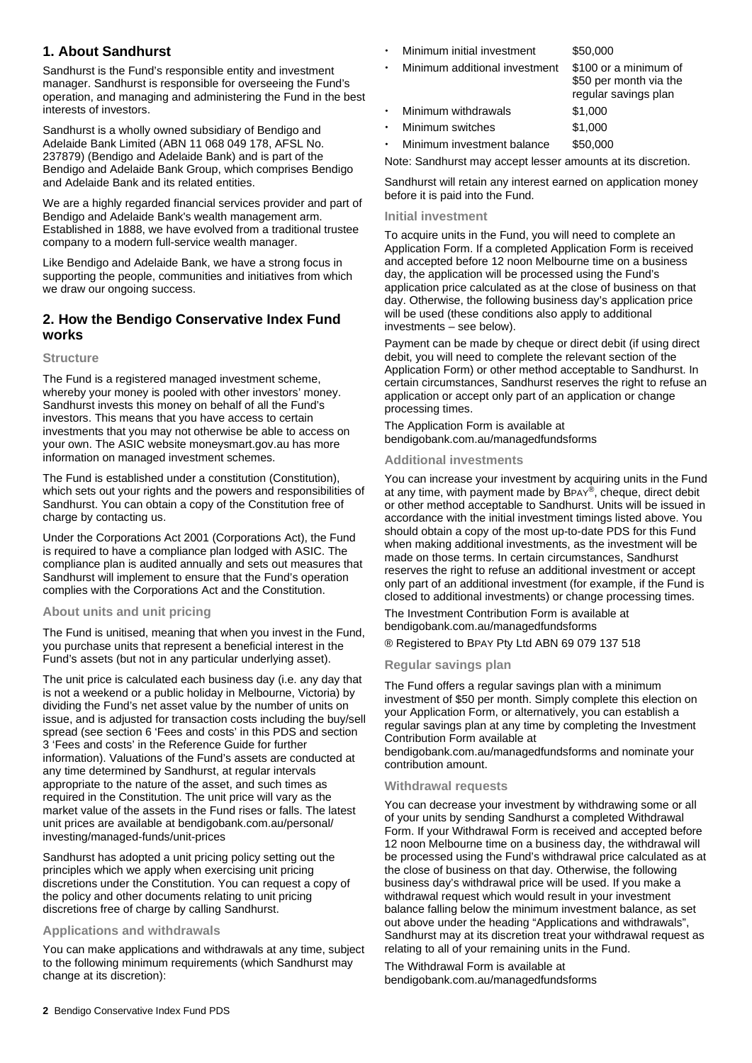# **1. About Sandhurst**

Sandhurst is the Fund's responsible entity and investment manager. Sandhurst is responsible for overseeing the Fund's operation, and managing and administering the Fund in the best interests of investors.

Sandhurst is a wholly owned subsidiary of Bendigo and Adelaide Bank Limited (ABN 11 068 049 178, AFSL No. 237879) (Bendigo and Adelaide Bank) and is part of the Bendigo and Adelaide Bank Group, which comprises Bendigo and Adelaide Bank and its related entities.

We are a highly regarded financial services provider and part of Bendigo and Adelaide Bank's wealth management arm. Established in 1888, we have evolved from a traditional trustee company to a modern full-service wealth manager.

Like Bendigo and Adelaide Bank, we have a strong focus in supporting the people, communities and initiatives from which we draw our ongoing success.

# **2. How the Bendigo Conservative Index Fund works**

# **Structure**

The Fund is a registered managed investment scheme, whereby your money is pooled with other investors' money. Sandhurst invests this money on behalf of all the Fund's investors. This means that you have access to certain investments that you may not otherwise be able to access on your own. The ASIC website [moneysmart.gov.au](https://www.moneysmart.gov.au/) has more information on managed investment schemes.

The Fund is established under a constitution (Constitution), which sets out your rights and the powers and responsibilities of Sandhurst. You can obtain a copy of the Constitution free of charge by contacting us.

Under the Corporations Act 2001 (Corporations Act), the Fund is required to have a compliance plan lodged with ASIC. The compliance plan is audited annually and sets out measures that Sandhurst will implement to ensure that the Fund's operation complies with the Corporations Act and the Constitution.

# **About units and unit pricing**

The Fund is unitised, meaning that when you invest in the Fund, you purchase units that represent a beneficial interest in the Fund's assets (but not in any particular underlying asset).

The unit price is calculated each business day (i.e. any day that is not a weekend or a public holiday in Melbourne, Victoria) by dividing the Fund's net asset value by the number of units on issue, and is adjusted for transaction costs including the buy/sell spread (see section 6 'Fees and costs' in this PDS and section 3 'Fees and costs' in the Reference Guide for further information). Valuations of the Fund's assets are conducted at any time determined by Sandhurst, at regular intervals appropriate to the nature of the asset, and such times as required in the Constitution. The unit price will vary as the market value of the assets in the Fund rises or falls. The latest unit prices are available at [bendigobank.com.au/personal/](https://bendigobank.com.au/personal/investing/managed-funds/unit-prices)  [investing/managed-funds/unit-prices](https://bendigobank.com.au/personal/investing/managed-funds/unit-prices) 

Sandhurst has adopted a unit pricing policy setting out the principles which we apply when exercising unit pricing discretions under the Constitution. You can request a copy of the policy and other documents relating to unit pricing discretions free of charge by calling Sandhurst.

### **Applications and withdrawals**

You can make applications and withdrawals at any time, subject to the following minimum requirements (which Sandhurst may change at its discretion):

- Minimum initial investment \$50,000
	- Minimum additional investment \$100 or a minimum of \$50 per month via the regular savings plan Minimum withdrawals \$1,000
- Minimum switches \$1,000
- Minimum investment balance \$50,000

Note: Sandhurst may accept lesser amounts at its discretion.

Sandhurst will retain any interest earned on application money before it is paid into the Fund.

# **Initial investment**

To acquire units in the Fund, you will need to complete an Application Form. If a completed Application Form is received and accepted before 12 noon Melbourne time on a business day, the application will be processed using the Fund's application price calculated as at the close of business on that day. Otherwise, the following business day's application price will be used (these conditions also apply to additional investments – see below).

Payment can be made by cheque or direct debit (if using direct debit, you will need to complete the relevant section of the Application Form) or other method acceptable to Sandhurst. In certain circumstances, Sandhurst reserves the right to refuse an application or accept only part of an application or change processing times.

The Application Form is available at [bendigobank.com.au/managedfundsf](https://bendigobank.com.au/managedfundsforms)orms

# **Additional investments**

You can increase your investment by acquiring units in the Fund at any time, with payment made by BPAY®, cheque, direct debit or other method acceptable to Sandhurst. Units will be issued in accordance with the initial investment timings listed above. You should obtain a copy of the most up-to-date PDS for this Fund when making additional investments, as the investment will be made on those terms. In certain circumstances, Sandhurst reserves the right to refuse an additional investment or accept only part of an additional investment (for example, if the Fund is closed to additional investments) or change processing times.

The Investment Contribution Form is available at [bendigobank.com.au/managedfundsf](https://bendigobank.com.au/managedfundsforms)orms

® Registered to BPAY Pty Ltd ABN 69 079 137 518

# **Regular savings plan**

The Fund offers a regular savings plan with a minimum investment of \$50 per month. Simply complete this election on your Application Form, or alternatively, you can establish a regular savings plan at any time by completing the Investment Contribution Form available at

[bendigobank.com.au/managedfundsf](https://bendigobank.com.au/managedfundsforms)orms and nominate your contribution amount.

### **Withdrawal requests**

You can decrease your investment by withdrawing some or all of your units by sending Sandhurst a completed Withdrawal Form. If your Withdrawal Form is received and accepted before 12 noon Melbourne time on a business day, the withdrawal will be processed using the Fund's withdrawal price calculated as at the close of business on that day. Otherwise, the following business day's withdrawal price will be used. If you make a withdrawal request which would result in your investment balance falling below the minimum investment balance, as set out above under the heading "Applications and withdrawals", Sandhurst may at its discretion treat your withdrawal request as relating to all of your remaining units in the Fund.

The Withdrawal Form is available at [bendigobank.com.au/managedfundsf](https://bendigobank.com.au/managedfundsforms)orms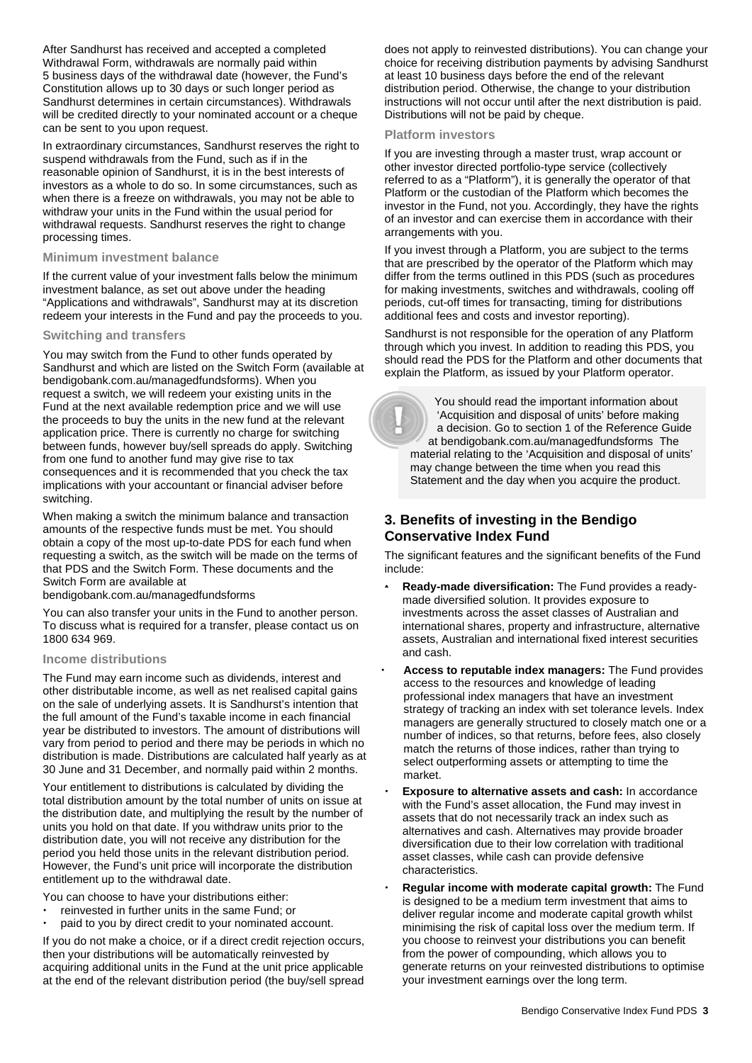After Sandhurst has received and accepted a completed Withdrawal Form, withdrawals are normally paid within 5 business days of the withdrawal date (however, the Fund's Constitution allows up to 30 days or such longer period as Sandhurst determines in certain circumstances). Withdrawals will be credited directly to your nominated account or a cheque can be sent to you upon request.

In extraordinary circumstances, Sandhurst reserves the right to suspend withdrawals from the Fund, such as if in the reasonable opinion of Sandhurst, it is in the best interests of investors as a whole to do so. In some circumstances, such as when there is a freeze on withdrawals, you may not be able to withdraw your units in the Fund within the usual period for withdrawal requests. Sandhurst reserves the right to change processing times.

### **Minimum investment balance**

If the current value of your investment falls below the minimum investment balance, as set out above under the heading "Applications and withdrawals", Sandhurst may at its discretion redeem your interests in the Fund and pay the proceeds to you.

# **Switching and transfers**

You may switch from the Fund to other funds operated by Sandhurst and which are listed on the Switch Form (available at [bendigobank.com.au/managedfundsf](https://bendigobank.com.au/managedfundsforms)orms). When you request a switch, we will redeem your existing units in the Fund at the next available redemption price and we will use the proceeds to buy the units in the new fund at the relevant application price. There is currently no charge for switching between funds, however buy/sell spreads do apply. Switching from one fund to another fund may give rise to tax consequences and it is recommended that you check the tax implications with your accountant or financial adviser before switching.

When making a switch the minimum balance and transaction amounts of the respective funds must be met. You should obtain a copy of the most up-to-date PDS for each fund when requesting a switch, as the switch will be made on the terms of that PDS and the Switch Form. These documents and the Switch Form are available at

[bendigobank.com.au/managedfundsf](https://bendigobank.com.au/managedfundsforms)orms

You can also transfer your units in the Fund to another person. To discuss what is required for a transfer, please contact us on 1800 634 969.

### **Income distributions**

The Fund may earn income such as dividends, interest and other distributable income, as well as net realised capital gains on the sale of underlying assets. It is Sandhurst's intention that the full amount of the Fund's taxable income in each financial year be distributed to investors. The amount of distributions will vary from period to period and there may be periods in which no distribution is made. Distributions are calculated half yearly as at 30 June and 31 December, and normally paid within 2 months.

Your entitlement to distributions is calculated by dividing the total distribution amount by the total number of units on issue at the distribution date, and multiplying the result by the number of units you hold on that date. If you withdraw units prior to the distribution date, you will not receive any distribution for the period you held those units in the relevant distribution period. However, the Fund's unit price will incorporate the distribution entitlement up to the withdrawal date.

You can choose to have your distributions either:

- reinvested in further units in the same Fund; or
- paid to you by direct credit to your nominated account.

If you do not make a choice, or if a direct credit rejection occurs, then your distributions will be automatically reinvested by acquiring additional units in the Fund at the unit price applicable at the end of the relevant distribution period (the buy/sell spread does not apply to reinvested distributions). You can change your choice for receiving distribution payments by advising Sandhurst at least 10 business days before the end of the relevant distribution period. Otherwise, the change to your distribution instructions will not occur until after the next distribution is paid. Distributions will not be paid by cheque.

#### **Platform investors**

If you are investing through a master trust, wrap account or other investor directed portfolio-type service (collectively referred to as a "Platform"), it is generally the operator of that Platform or the custodian of the Platform which becomes the investor in the Fund, not you. Accordingly, they have the rights of an investor and can exercise them in accordance with their arrangements with you.

If you invest through a Platform, you are subject to the terms that are prescribed by the operator of the Platform which may differ from the terms outlined in this PDS (such as procedures for making investments, switches and withdrawals, cooling off periods, cut-off times for transacting, timing for distributions additional fees and costs and investor reporting).

Sandhurst is not responsible for the operation of any Platform through which you invest. In addition to reading this PDS, you should read the PDS for the Platform and other documents that explain the Platform, as issued by your Platform operator.

 You should read the important information about 'Acquisition and disposal of units' before making a decision. Go to section 1 of the Reference Guide at [bendigobank.com.au/managedfundsf](https://bendigobank.com.au/managedfundsforms)orms The material relating to the 'Acquisition and disposal of units' may change between the time when you read this Statement and the day when you acquire the product.

# **3. Benefits of investing in the Bendigo Conservative Index Fund**

The significant features and the significant benefits of the Fund include:

- **Ready-made diversification:** The Fund provides a readymade diversified solution. It provides exposure to investments across the asset classes of Australian and international shares, property and infrastructure, alternative assets, Australian and international fixed interest securities and cash.
- **Access to reputable index managers:** The Fund provides access to the resources and knowledge of leading professional index managers that have an investment strategy of tracking an index with set tolerance levels. Index managers are generally structured to closely match one or a number of indices, so that returns, before fees, also closely match the returns of those indices, rather than trying to select outperforming assets or attempting to time the market.
- **Exposure to alternative assets and cash:** In accordance with the Fund's asset allocation, the Fund may invest in assets that do not necessarily track an index such as alternatives and cash. Alternatives may provide broader diversification due to their low correlation with traditional asset classes, while cash can provide defensive characteristics.
- **Regular income with moderate capital growth:** The Fund is designed to be a medium term investment that aims to deliver regular income and moderate capital growth whilst minimising the risk of capital loss over the medium term. If you choose to reinvest your distributions you can benefit from the power of compounding, which allows you to generate returns on your reinvested distributions to optimise your investment earnings over the long term.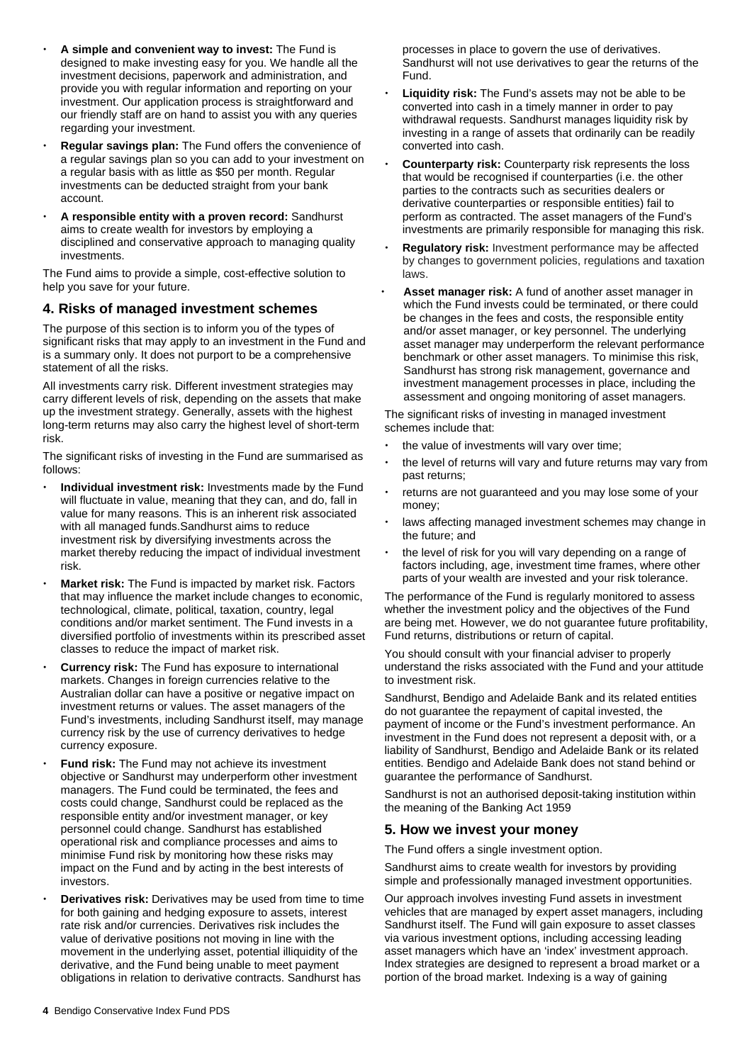- **A simple and convenient way to invest:** The Fund is designed to make investing easy for you. We handle all the investment decisions, paperwork and administration, and provide you with regular information and reporting on your investment. Our application process is straightforward and our friendly staff are on hand to assist you with any queries regarding your investment.
- **Regular savings plan:** The Fund offers the convenience of a regular savings plan so you can add to your investment on a regular basis with as little as \$50 per month. Regular investments can be deducted straight from your bank account.
- **A responsible entity with a proven record:** Sandhurst aims to create wealth for investors by employing a disciplined and conservative approach to managing quality investments.

The Fund aims to provide a simple, cost-effective solution to help you save for your future.

# **4. Risks of managed investment schemes**

The purpose of this section is to inform you of the types of significant risks that may apply to an investment in the Fund and is a summary only. It does not purport to be a comprehensive statement of all the risks.

All investments carry risk. Different investment strategies may carry different levels of risk, depending on the assets that make up the investment strategy. Generally, assets with the highest long-term returns may also carry the highest level of short-term risk.

The significant risks of investing in the Fund are summarised as follows:

- **Individual investment risk:** Investments made by the Fund will fluctuate in value, meaning that they can, and do, fall in value for many reasons. This is an inherent risk associated with all managed funds.Sandhurst aims to reduce investment risk by diversifying investments across the market thereby reducing the impact of individual investment risk.
- **Market risk:** The Fund is impacted by market risk. Factors that may influence the market include changes to economic, technological, climate, political, taxation, country, legal conditions and/or market sentiment. The Fund invests in a diversified portfolio of investments within its prescribed asset classes to reduce the impact of market risk.
- **Currency risk:** The Fund has exposure to international markets. Changes in foreign currencies relative to the Australian dollar can have a positive or negative impact on investment returns or values. The asset managers of the Fund's investments, including Sandhurst itself, may manage currency risk by the use of currency derivatives to hedge currency exposure.
- **Fund risk:** The Fund may not achieve its investment objective or Sandhurst may underperform other investment managers. The Fund could be terminated, the fees and costs could change, Sandhurst could be replaced as the responsible entity and/or investment manager, or key personnel could change. Sandhurst has established operational risk and compliance processes and aims to minimise Fund risk by monitoring how these risks may impact on the Fund and by acting in the best interests of investors.
- **Derivatives risk:** Derivatives may be used from time to time for both gaining and hedging exposure to assets, interest rate risk and/or currencies. Derivatives risk includes the value of derivative positions not moving in line with the movement in the underlying asset, potential illiquidity of the derivative, and the Fund being unable to meet payment obligations in relation to derivative contracts. Sandhurst has

processes in place to govern the use of derivatives. Sandhurst will not use derivatives to gear the returns of the Fund.

- **Liquidity risk:** The Fund's assets may not be able to be converted into cash in a timely manner in order to pay withdrawal requests. Sandhurst manages liquidity risk by investing in a range of assets that ordinarily can be readily converted into cash.
- **Counterparty risk:** Counterparty risk represents the loss that would be recognised if counterparties (i.e. the other parties to the contracts such as securities dealers or derivative counterparties or responsible entities) fail to perform as contracted. The asset managers of the Fund's investments are primarily responsible for managing this risk.
- **Regulatory risk:** Investment performance may be affected by changes to government policies, regulations and taxation laws.
- **Asset manager risk:** A fund of another asset manager in which the Fund invests could be terminated, or there could be changes in the fees and costs, the responsible entity and/or asset manager, or key personnel. The underlying asset manager may underperform the relevant performance benchmark or other asset managers. To minimise this risk, Sandhurst has strong risk management, governance and investment management processes in place, including the assessment and ongoing monitoring of asset managers.

The significant risks of investing in managed investment schemes include that:

- the value of investments will vary over time;
- the level of returns will vary and future returns may vary from past returns;
- returns are not guaranteed and you may lose some of your money;
- laws affecting managed investment schemes may change in the future; and
- the level of risk for you will vary depending on a range of factors including, age, investment time frames, where other parts of your wealth are invested and your risk tolerance.

The performance of the Fund is regularly monitored to assess whether the investment policy and the objectives of the Fund are being met. However, we do not guarantee future profitability, Fund returns, distributions or return of capital.

You should consult with your financial adviser to properly understand the risks associated with the Fund and your attitude to investment risk.

Sandhurst, Bendigo and Adelaide Bank and its related entities do not guarantee the repayment of capital invested, the payment of income or the Fund's investment performance. An investment in the Fund does not represent a deposit with, or a liability of Sandhurst, Bendigo and Adelaide Bank or its related entities. Bendigo and Adelaide Bank does not stand behind or guarantee the performance of Sandhurst.

Sandhurst is not an authorised deposit-taking institution within the meaning of the Banking Act 1959

# **5. How we invest your money**

The Fund offers a single investment option.

Sandhurst aims to create wealth for investors by providing simple and professionally managed investment opportunities.

Our approach involves investing Fund assets in investment vehicles that are managed by expert asset managers, including Sandhurst itself. The Fund will gain exposure to asset classes via various investment options, including accessing leading asset managers which have an 'index' investment approach. Index strategies are designed to represent a broad market or a portion of the broad market. Indexing is a way of gaining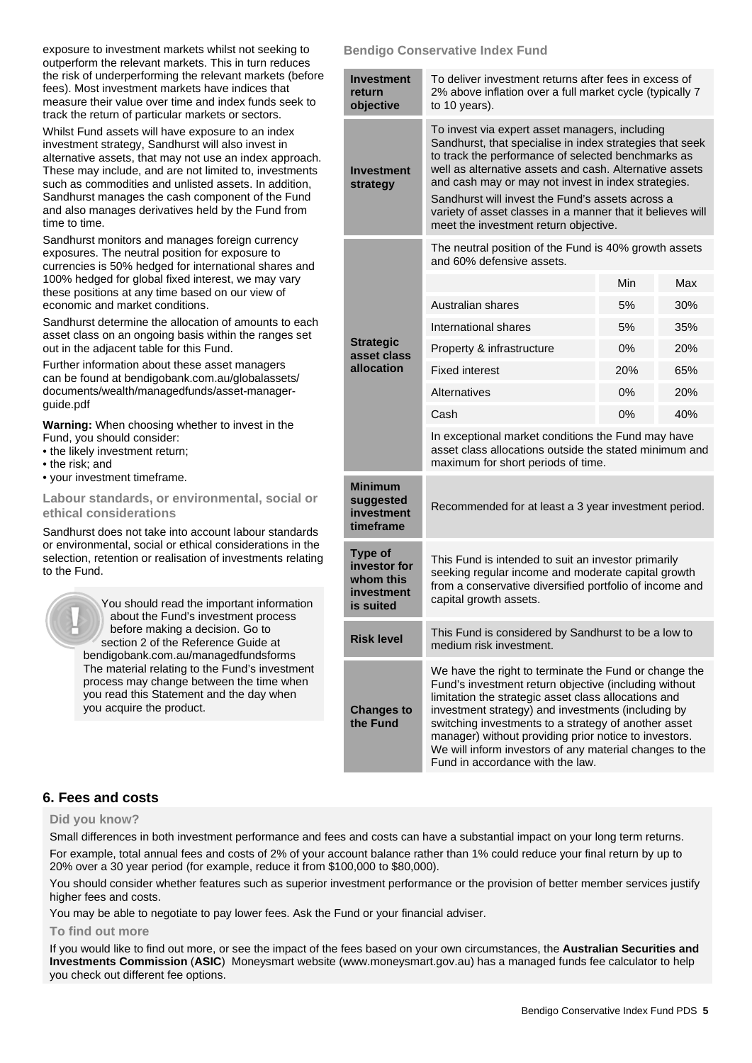exposure to investment markets whilst not seeking to outperform the relevant markets. This in turn reduces the risk of underperforming the relevant markets (before fees). Most investment markets have indices that measure their value over time and index funds seek to track the return of particular markets or sectors.

Whilst Fund assets will have exposure to an index investment strategy, Sandhurst will also invest in alternative assets, that may not use an index approach. These may include, and are not limited to, investments such as commodities and unlisted assets. In addition, Sandhurst manages the cash component of the Fund and also manages derivatives held by the Fund from time to time.

Sandhurst monitors and manages foreign currency exposures. The neutral position for exposure to currencies is 50% hedged for international shares and 100% hedged for global fixed interest, we may vary these positions at any time based on our view of economic and market conditions.

Sandhurst determine the allocation of amounts to each asset class on an ongoing basis within the ranges set out in the adjacent table for this Fund.

Further information about these asset managers can be found a[t bendigobank.com.au/globalassets/](https://www.bendigobank.com.au/globalassets/documents/wealth/managedfunds/asset-manager-guide.pdf)  [documents/wealth/managedfunds/asset-manager](https://www.bendigobank.com.au/globalassets/documents/wealth/managedfunds/asset-manager-guide.pdf)[guide.pdf](https://www.bendigobank.com.au/globalassets/documents/wealth/managedfunds/asset-manager-guide.pdf) 

**Warning:** When choosing whether to invest in the Fund, you should consider:

- the likely investment return;
- the risk; and
- your investment timeframe.

**Labour standards, or environmental, social or ethical considerations** 

Sandhurst does not take into account labour standards or environmental, social or ethical considerations in the selection, retention or realisation of investments relating to the Fund.

> You should read the important information about the Fund's investment process before making a decision. Go to section 2 of the Reference Guide at [bendigobank.com.au/managedfundsf](https://bendigobank.com.au/managedfundsforms)orms The material relating to the Fund's investment process may change between the time when you read this Statement and the day when you acquire the product.

# **Bendigo Conservative Index Fund**

| <b>Investment</b><br>return<br>objective                        | To deliver investment returns after fees in excess of<br>2% above inflation over a full market cycle (typically 7<br>to 10 years).                                                                                                                                                                                                                                                                                                            |     |     |  |
|-----------------------------------------------------------------|-----------------------------------------------------------------------------------------------------------------------------------------------------------------------------------------------------------------------------------------------------------------------------------------------------------------------------------------------------------------------------------------------------------------------------------------------|-----|-----|--|
| <b>Investment</b><br>strategy                                   | To invest via expert asset managers, including<br>Sandhurst, that specialise in index strategies that seek<br>to track the performance of selected benchmarks as<br>well as alternative assets and cash. Alternative assets<br>and cash may or may not invest in index strategies.<br>Sandhurst will invest the Fund's assets across a<br>variety of asset classes in a manner that it believes will<br>meet the investment return objective. |     |     |  |
|                                                                 | The neutral position of the Fund is 40% growth assets<br>and 60% defensive assets.                                                                                                                                                                                                                                                                                                                                                            |     |     |  |
|                                                                 |                                                                                                                                                                                                                                                                                                                                                                                                                                               | Min | Max |  |
|                                                                 | Australian shares                                                                                                                                                                                                                                                                                                                                                                                                                             | 5%  | 30% |  |
| <b>Strategic</b><br>asset class<br>allocation                   | International shares                                                                                                                                                                                                                                                                                                                                                                                                                          | 5%  | 35% |  |
|                                                                 | Property & infrastructure                                                                                                                                                                                                                                                                                                                                                                                                                     | 0%  | 20% |  |
|                                                                 | <b>Fixed interest</b>                                                                                                                                                                                                                                                                                                                                                                                                                         | 20% | 65% |  |
|                                                                 | Alternatives                                                                                                                                                                                                                                                                                                                                                                                                                                  | 0%  | 20% |  |
|                                                                 | Cash                                                                                                                                                                                                                                                                                                                                                                                                                                          | 0%  | 40% |  |
|                                                                 | In exceptional market conditions the Fund may have<br>asset class allocations outside the stated minimum and<br>maximum for short periods of time.                                                                                                                                                                                                                                                                                            |     |     |  |
| <b>Minimum</b><br>suggested<br>investment<br>timeframe          | Recommended for at least a 3 year investment period.                                                                                                                                                                                                                                                                                                                                                                                          |     |     |  |
| Type of<br>investor for<br>whom this<br>investment<br>is suited | This Fund is intended to suit an investor primarily<br>seeking regular income and moderate capital growth<br>from a conservative diversified portfolio of income and<br>capital growth assets.                                                                                                                                                                                                                                                |     |     |  |
| <b>Risk level</b>                                               | This Fund is considered by Sandhurst to be a low to<br>medium risk investment.                                                                                                                                                                                                                                                                                                                                                                |     |     |  |
| <b>Changes to</b><br>the Fund                                   | We have the right to terminate the Fund or change the<br>Fund's investment return objective (including without<br>limitation the strategic asset class allocations and<br>investment strategy) and investments (including by<br>switching investments to a strategy of another asset<br>manager) without providing prior notice to investors.<br>We will inform investors of any material changes to the<br>Fund in accordance with the law.  |     |     |  |

# **6. Fees and costs**

### **Did you know?**

Small differences in both investment performance and fees and costs can have a substantial impact on your long term returns. For example, total annual fees and costs of 2% of your account balance rather than 1% could reduce your final return by up to 20% over a 30 year period (for example, reduce it from \$100,000 to \$80,000).

You should consider whether features such as superior investment performance or the provision of better member services justify higher fees and costs.

You may be able to negotiate to pay lower fees. Ask the Fund or your financial adviser.

### **To find out more**

If you would like to find out more, or see the impact of the fees based on your own circumstances, the **Australian Securities and Investments Commission** (**ASIC**) Moneysmart website (www[.moneysmart.gov.au\)](https://www.moneysmart.gov.au/) has a managed funds fee calculator to help you check out different fee options.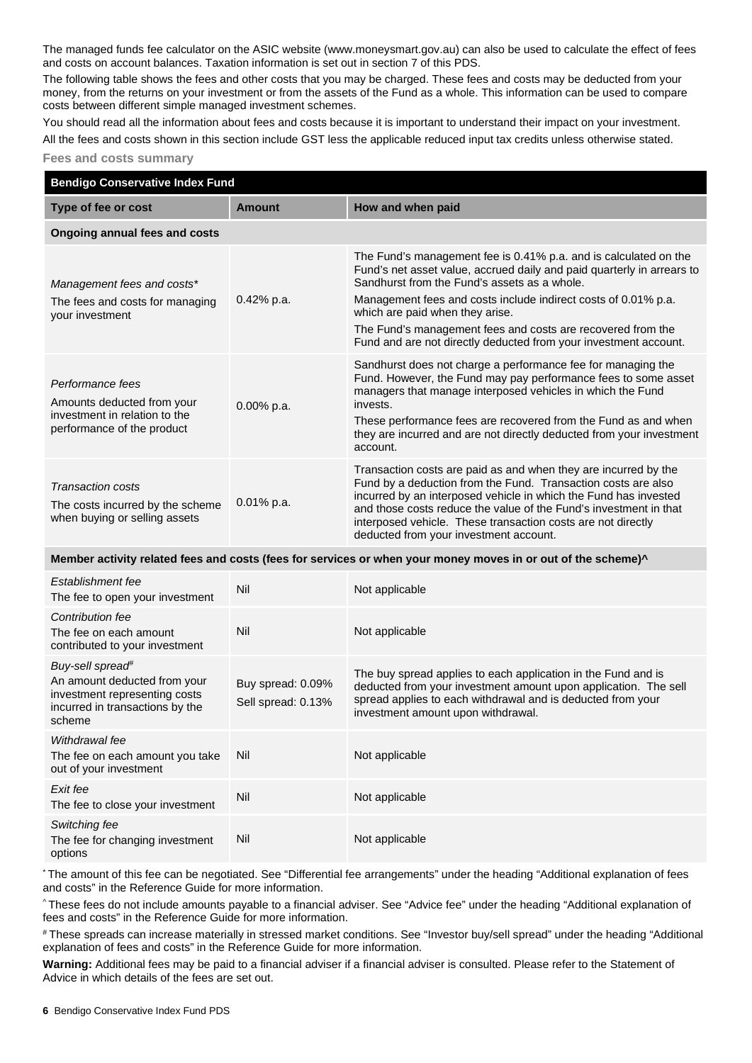The managed funds fee calculator on the ASIC website (ww[w.moneysmart.gov.au\)](https://www.moneysmart.gov.au/) can also be used to calculate the effect of fees and costs on account balances. Taxation information is set out in section 7 of this PDS.

The following table shows the fees and other costs that you may be charged. These fees and costs may be deducted from your money, from the returns on your investment or from the assets of the Fund as a whole. This information can be used to compare costs between different simple managed investment schemes.

You should read all the information about fees and costs because it is important to understand their impact on your investment. All the fees and costs shown in this section include GST less the applicable reduced input tax credits unless otherwise stated.

#### **Fees and costs summary**

| <b>Bendigo Conservative Index Fund</b>                                                                                                     |                                         |                                                                                                                                                                                                                                                                                                                                                                                                                                    |  |  |  |
|--------------------------------------------------------------------------------------------------------------------------------------------|-----------------------------------------|------------------------------------------------------------------------------------------------------------------------------------------------------------------------------------------------------------------------------------------------------------------------------------------------------------------------------------------------------------------------------------------------------------------------------------|--|--|--|
| Type of fee or cost                                                                                                                        | <b>Amount</b>                           | How and when paid                                                                                                                                                                                                                                                                                                                                                                                                                  |  |  |  |
| <b>Ongoing annual fees and costs</b>                                                                                                       |                                         |                                                                                                                                                                                                                                                                                                                                                                                                                                    |  |  |  |
| Management fees and costs*<br>The fees and costs for managing<br>your investment                                                           | 0.42% p.a.                              | The Fund's management fee is 0.41% p.a. and is calculated on the<br>Fund's net asset value, accrued daily and paid quarterly in arrears to<br>Sandhurst from the Fund's assets as a whole.<br>Management fees and costs include indirect costs of 0.01% p.a.<br>which are paid when they arise.<br>The Fund's management fees and costs are recovered from the<br>Fund and are not directly deducted from your investment account. |  |  |  |
| Performance fees<br>Amounts deducted from your<br>investment in relation to the<br>performance of the product                              | 0.00% p.a.                              | Sandhurst does not charge a performance fee for managing the<br>Fund. However, the Fund may pay performance fees to some asset<br>managers that manage interposed vehicles in which the Fund<br>invests.<br>These performance fees are recovered from the Fund as and when<br>they are incurred and are not directly deducted from your investment<br>account.                                                                     |  |  |  |
| Transaction costs<br>The costs incurred by the scheme<br>when buying or selling assets                                                     | 0.01% p.a.                              | Transaction costs are paid as and when they are incurred by the<br>Fund by a deduction from the Fund. Transaction costs are also<br>incurred by an interposed vehicle in which the Fund has invested<br>and those costs reduce the value of the Fund's investment in that<br>interposed vehicle. These transaction costs are not directly<br>deducted from your investment account.                                                |  |  |  |
| Member activity related fees and costs (fees for services or when your money moves in or out of the scheme)^                               |                                         |                                                                                                                                                                                                                                                                                                                                                                                                                                    |  |  |  |
| Establishment fee<br>The fee to open your investment                                                                                       | Nil                                     | Not applicable                                                                                                                                                                                                                                                                                                                                                                                                                     |  |  |  |
| Contribution fee<br>The fee on each amount<br>contributed to your investment                                                               | Nil                                     | Not applicable                                                                                                                                                                                                                                                                                                                                                                                                                     |  |  |  |
| Buy-sell spread <sup>#</sup><br>An amount deducted from your<br>investment representing costs<br>incurred in transactions by the<br>scheme | Buy spread: 0.09%<br>Sell spread: 0.13% | The buy spread applies to each application in the Fund and is<br>deducted from your investment amount upon application. The sell<br>spread applies to each withdrawal and is deducted from your<br>investment amount upon withdrawal.                                                                                                                                                                                              |  |  |  |
| Withdrawal fee<br>The fee on each amount you take<br>out of your investment                                                                | Nil                                     | Not applicable                                                                                                                                                                                                                                                                                                                                                                                                                     |  |  |  |
| Exit fee<br>The fee to close your investment                                                                                               | Nil                                     | Not applicable                                                                                                                                                                                                                                                                                                                                                                                                                     |  |  |  |
| Switching fee<br>The fee for changing investment<br>options                                                                                | Nil                                     | Not applicable                                                                                                                                                                                                                                                                                                                                                                                                                     |  |  |  |

\* The amount of this fee can be negotiated. See "Differential fee arrangements" under the heading "Additional explanation of fees and costs" in the Reference Guide for more information.

^ These fees do not include amounts payable to a financial adviser. See "Advice fee" under the heading "Additional explanation of fees and costs" in the Reference Guide for more information.

# These spreads can increase materially in stressed market conditions. See "Investor buy/sell spread" under the heading "Additional explanation of fees and costs" in the Reference Guide for more information.

**Warning:** Additional fees may be paid to a financial adviser if a financial adviser is consulted. Please refer to the Statement of Advice in which details of the fees are set out.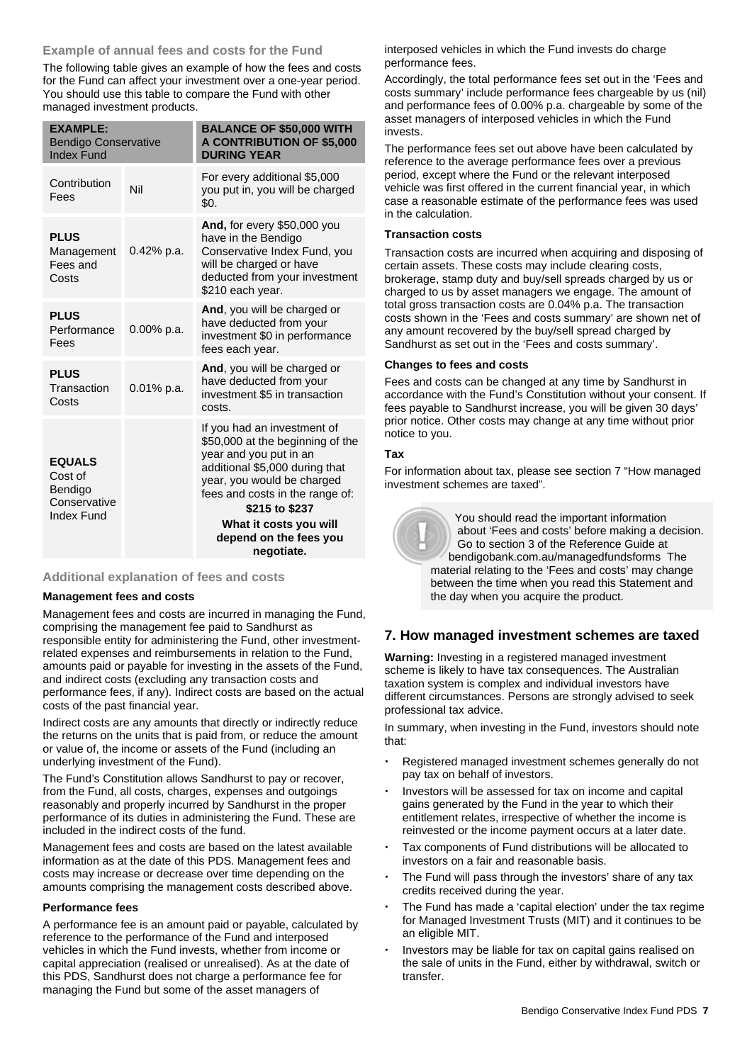# **Example of annual fees and costs for the Fund**

The following table gives an example of how the fees and costs for the Fund can affect your investment over a one-year period. You should use this table to compare the Fund with other managed investment products.

| <b>EXAMPLE:</b><br><b>Bendigo Conservative</b><br><b>Index Fund</b>      |               | <b>BALANCE OF \$50,000 WITH</b><br><b>A CONTRIBUTION OF \$5,000</b><br><b>DURING YEAR</b>                                                                                                                                                                                        |
|--------------------------------------------------------------------------|---------------|----------------------------------------------------------------------------------------------------------------------------------------------------------------------------------------------------------------------------------------------------------------------------------|
| Contribution<br>Fees                                                     | Nil           | For every additional \$5,000<br>you put in, you will be charged<br>\$0.                                                                                                                                                                                                          |
| <b>PLUS</b><br>Management<br>Fees and<br>Costs                           | $0.42\%$ p.a. | <b>And, for every \$50,000 you</b><br>have in the Bendigo<br>Conservative Index Fund, you<br>will be charged or have<br>deducted from your investment<br>\$210 each year.                                                                                                        |
| <b>PLUS</b><br>Performance<br>Fees                                       | 0.00% p.a.    | And, you will be charged or<br>have deducted from your<br>investment \$0 in performance<br>fees each year.                                                                                                                                                                       |
| <b>PLUS</b><br>Transaction<br>Costs                                      | $0.01\%$ p.a. | And, you will be charged or<br>have deducted from your<br>investment \$5 in transaction<br>costs.                                                                                                                                                                                |
| <b>EQUALS</b><br>Cost of<br>Bendigo<br>Conservative<br><b>Index Fund</b> |               | If you had an investment of<br>\$50,000 at the beginning of the<br>year and you put in an<br>additional \$5,000 during that<br>year, you would be charged<br>fees and costs in the range of:<br>\$215 to \$237<br>What it costs you will<br>depend on the fees you<br>negotiate. |

# **Additional explanation of fees and costs**

### **Management fees and costs**

Management fees and costs are incurred in managing the Fund, comprising the management fee paid to Sandhurst as responsible entity for administering the Fund, other investmentrelated expenses and reimbursements in relation to the Fund, amounts paid or payable for investing in the assets of the Fund, and indirect costs (excluding any transaction costs and performance fees, if any). Indirect costs are based on the actual costs of the past financial year.

Indirect costs are any amounts that directly or indirectly reduce the returns on the units that is paid from, or reduce the amount or value of, the income or assets of the Fund (including an underlying investment of the Fund).

The Fund's Constitution allows Sandhurst to pay or recover, from the Fund, all costs, charges, expenses and outgoings reasonably and properly incurred by Sandhurst in the proper performance of its duties in administering the Fund. These are included in the indirect costs of the fund.

Management fees and costs are based on the latest available information as at the date of this PDS. Management fees and costs may increase or decrease over time depending on the amounts comprising the management costs described above.

### **Performance fees**

A performance fee is an amount paid or payable, calculated by reference to the performance of the Fund and interposed vehicles in which the Fund invests, whether from income or capital appreciation (realised or unrealised). As at the date of this PDS, Sandhurst does not charge a performance fee for managing the Fund but some of the asset managers of

interposed vehicles in which the Fund invests do charge performance fees.

Accordingly, the total performance fees set out in the 'Fees and costs summary' include performance fees chargeable by us (nil) and performance fees of 0.00% p.a. chargeable by some of the asset managers of interposed vehicles in which the Fund invests.

The performance fees set out above have been calculated by reference to the average performance fees over a previous period, except where the Fund or the relevant interposed vehicle was first offered in the current financial year, in which case a reasonable estimate of the performance fees was used in the calculation.

# **Transaction costs**

Transaction costs are incurred when acquiring and disposing of certain assets. These costs may include clearing costs, brokerage, stamp duty and buy/sell spreads charged by us or charged to us by asset managers we engage. The amount of total gross transaction costs are 0.04% p.a. The transaction costs shown in the 'Fees and costs summary' are shown net of any amount recovered by the buy/sell spread charged by Sandhurst as set out in the 'Fees and costs summary'.

# **Changes to fees and costs**

Fees and costs can be changed at any time by Sandhurst in accordance with the Fund's Constitution without your consent. If fees payable to Sandhurst increase, you will be given 30 days' prior notice. Other costs may change at any time without prior notice to you.

# **Tax**

For information about tax, please see section 7 "How managed investment schemes are taxed".

> You should read the important information about 'Fees and costs' before making a decision. Go to section 3 of the Reference Guide at [bendigobank.com.au/managedfundsf](https://bendigobank.com.au/managedfundsforms)orms The material relating to the 'Fees and costs' may change between the time when you read this Statement and the day when you acquire the product.

# **7. How managed investment schemes are taxed**

**Warning:** Investing in a registered managed investment scheme is likely to have tax consequences. The Australian taxation system is complex and individual investors have different circumstances. Persons are strongly advised to seek professional tax advice.

In summary, when investing in the Fund, investors should note that:

- Registered managed investment schemes generally do not pay tax on behalf of investors.
- Investors will be assessed for tax on income and capital gains generated by the Fund in the year to which their entitlement relates, irrespective of whether the income is reinvested or the income payment occurs at a later date.
- Tax components of Fund distributions will be allocated to investors on a fair and reasonable basis.
- The Fund will pass through the investors' share of any tax credits received during the year.
- The Fund has made a 'capital election' under the tax regime for Managed Investment Trusts (MIT) and it continues to be an eligible MIT.
- Investors may be liable for tax on capital gains realised on the sale of units in the Fund, either by withdrawal, switch or transfer.